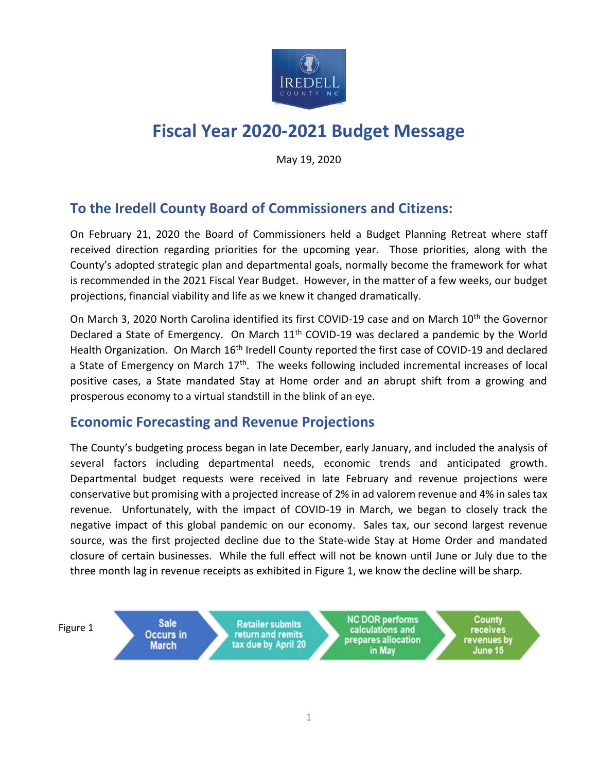

# **Fiscal Year 2020-2021 Budget Message**

May 19, 2020

## **To the Iredell County Board of Commissioners and Citizens:**

On February 21, 2020 the Board of Commissioners held a Budget Planning Retreat where staff received direction regarding priorities for the upcoming year. Those priorities, along with the County's adopted strategic plan and departmental goals, normally become the framework for what is recommended in the 2021 Fiscal Year Budget. However, in the matter of a few weeks, our budget projections, financial viability and life as we knew it changed dramatically.

On March 3, 2020 North Carolina identified its first COVID-19 case and on March 10<sup>th</sup> the Governor Declared a State of Emergency. On March  $11<sup>th</sup>$  COVID-19 was declared a pandemic by the World Health Organization. On March 16<sup>th</sup> Iredell County reported the first case of COVID-19 and declared a State of Emergency on March  $17<sup>th</sup>$ . The weeks following included incremental increases of local positive cases, a State mandated Stay at Home order and an abrupt shift from a growing and prosperous economy to a virtual standstill in the blink of an eye.

### **Economic Forecasting and Revenue Projections**

The County's budgeting process began in late December, early January, and included the analysis of several factors including departmental needs, economic trends and anticipated growth. Departmental budget requests were received in late February and revenue projections were conservative but promising with a projected increase of 2% in ad valorem revenue and 4% in sales tax revenue. Unfortunately, with the impact of COVID-19 in March, we began to closely track the negative impact of this global pandemic on our economy. Sales tax, our second largest revenue source, was the first projected decline due to the State-wide Stay at Home Order and mandated closure of certain businesses. While the full effect will not be known until June or July due to the three month lag in revenue receipts as exhibited in Figure 1, we know the decline will be sharp.

Figure 1

**Sale** Occurs in **March** 

**Retailer submits** return and remits tax due by April 20

**NC DOR performs** calculations and prepares allocation in May

**County** receives revenues by June 15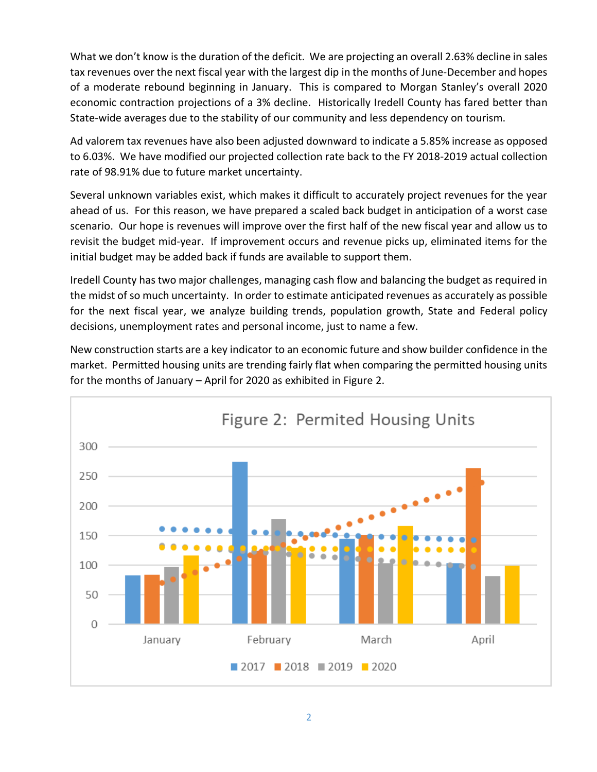What we don't know is the duration of the deficit. We are projecting an overall 2.63% decline in sales tax revenues over the next fiscal year with the largest dip in the months of June-December and hopes of a moderate rebound beginning in January. This is compared to Morgan Stanley's overall 2020 economic contraction projections of a 3% decline. Historically Iredell County has fared better than State-wide averages due to the stability of our community and less dependency on tourism.

Ad valorem tax revenues have also been adjusted downward to indicate a 5.85% increase as opposed to 6.03%. We have modified our projected collection rate back to the FY 2018-2019 actual collection rate of 98.91% due to future market uncertainty.

Several unknown variables exist, which makes it difficult to accurately project revenues for the year ahead of us. For this reason, we have prepared a scaled back budget in anticipation of a worst case scenario. Our hope is revenues will improve over the first half of the new fiscal year and allow us to revisit the budget mid-year. If improvement occurs and revenue picks up, eliminated items for the initial budget may be added back if funds are available to support them.

Iredell County has two major challenges, managing cash flow and balancing the budget as required in the midst of so much uncertainty. In order to estimate anticipated revenues as accurately as possible for the next fiscal year, we analyze building trends, population growth, State and Federal policy decisions, unemployment rates and personal income, just to name a few.

New construction starts are a key indicator to an economic future and show builder confidence in the market. Permitted housing units are trending fairly flat when comparing the permitted housing units for the months of January – April for 2020 as exhibited in Figure 2.

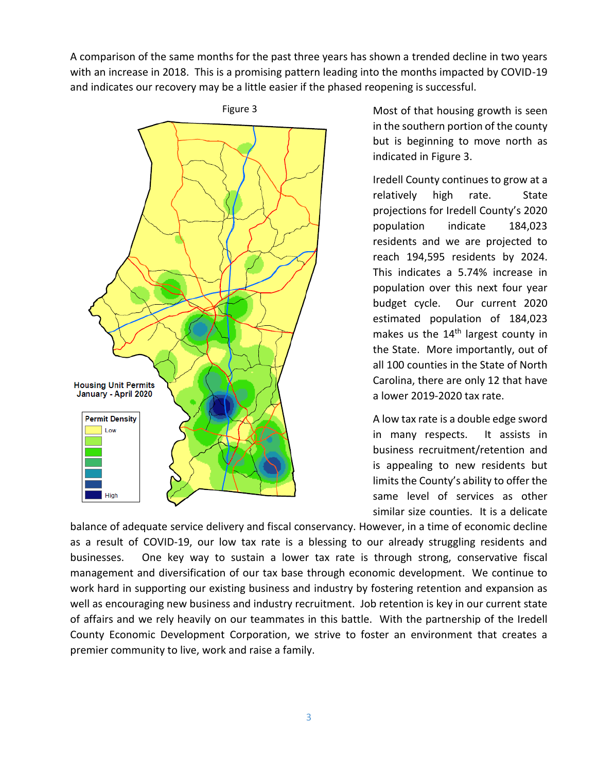A comparison of the same months for the past three years has shown a trended decline in two years with an increase in 2018. This is a promising pattern leading into the months impacted by COVID-19 and indicates our recovery may be a little easier if the phased reopening is successful.



Most of that housing growth is seen in the southern portion of the county but is beginning to move north as indicated in Figure 3.

Iredell County continues to grow at a relatively high rate. State projections for Iredell County's 2020 population indicate 184,023 residents and we are projected to reach 194,595 residents by 2024. This indicates a 5.74% increase in population over this next four year budget cycle. Our current 2020 estimated population of 184,023 makes us the 14<sup>th</sup> largest county in the State. More importantly, out of all 100 counties in the State of North Carolina, there are only 12 that have a lower 2019-2020 tax rate.

A low tax rate is a double edge sword in many respects. It assists in business recruitment/retention and is appealing to new residents but limits the County's ability to offer the same level of services as other similar size counties. It is a delicate

balance of adequate service delivery and fiscal conservancy. However, in a time of economic decline as a result of COVID-19, our low tax rate is a blessing to our already struggling residents and businesses. One key way to sustain a lower tax rate is through strong, conservative fiscal management and diversification of our tax base through economic development. We continue to work hard in supporting our existing business and industry by fostering retention and expansion as well as encouraging new business and industry recruitment. Job retention is key in our current state of affairs and we rely heavily on our teammates in this battle. With the partnership of the Iredell County Economic Development Corporation, we strive to foster an environment that creates a premier community to live, work and raise a family.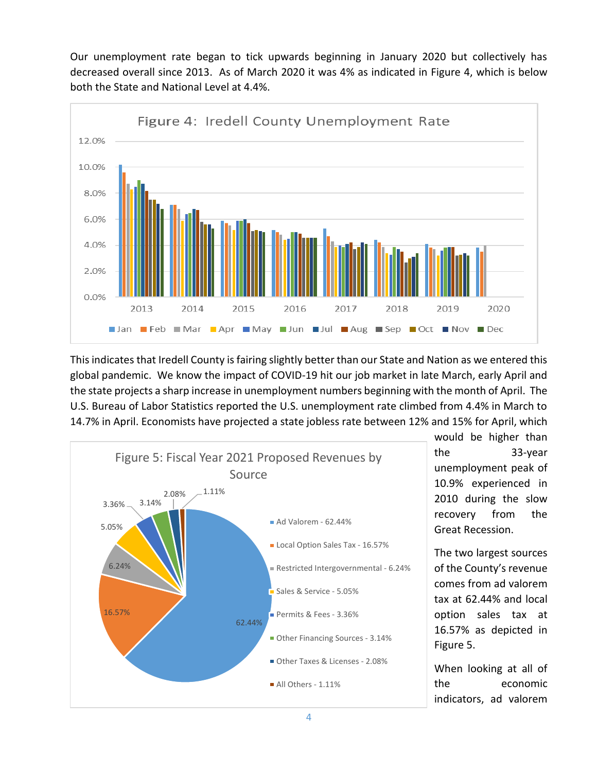Our unemployment rate began to tick upwards beginning in January 2020 but collectively has decreased overall since 2013. As of March 2020 it was 4% as indicated in Figure 4, which is below both the State and National Level at 4.4%.



This indicates that Iredell County is fairing slightly better than our State and Nation as we entered this global pandemic. We know the impact of COVID-19 hit our job market in late March, early April and the state projects a sharp increase in unemployment numbers beginning with the month of April. The U.S. Bureau of Labor Statistics reported the U.S. unemployment rate climbed from 4.4% in March to 14.7% in April. Economists have projected a state jobless rate between 12% and 15% for April, which



would be higher than the 33-year unemployment peak of 10.9% experienced in 2010 during the slow recovery from the Great Recession.

The two largest sources of the County's revenue comes from ad valorem tax at 62.44% and local option sales tax at 16.57% as depicted in Figure 5.

When looking at all of the economic indicators, ad valorem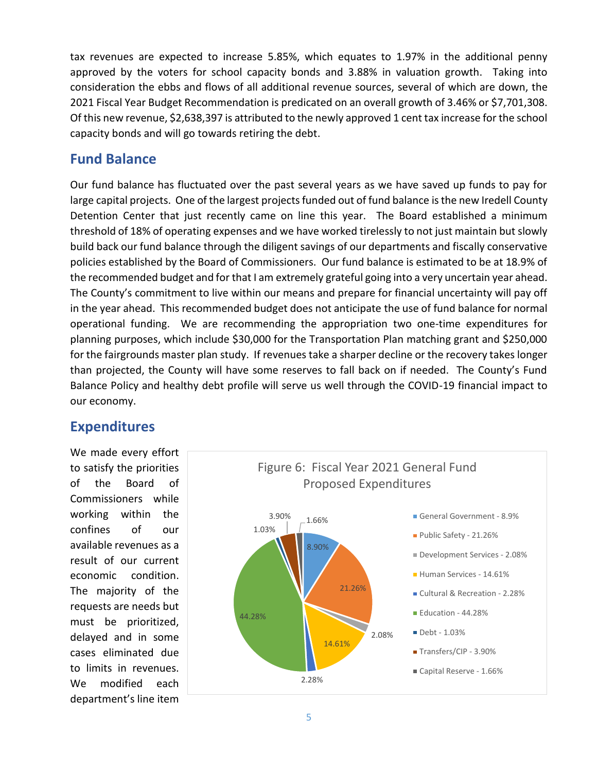tax revenues are expected to increase 5.85%, which equates to 1.97% in the additional penny approved by the voters for school capacity bonds and 3.88% in valuation growth. Taking into consideration the ebbs and flows of all additional revenue sources, several of which are down, the 2021 Fiscal Year Budget Recommendation is predicated on an overall growth of 3.46% or \$7,701,308. Of this new revenue, \$2,638,397 is attributed to the newly approved 1 cent tax increase for the school capacity bonds and will go towards retiring the debt.

#### **Fund Balance**

Our fund balance has fluctuated over the past several years as we have saved up funds to pay for large capital projects. One of the largest projects funded out of fund balance is the new Iredell County Detention Center that just recently came on line this year. The Board established a minimum threshold of 18% of operating expenses and we have worked tirelessly to not just maintain but slowly build back our fund balance through the diligent savings of our departments and fiscally conservative policies established by the Board of Commissioners. Our fund balance is estimated to be at 18.9% of the recommended budget and for that I am extremely grateful going into a very uncertain year ahead. The County's commitment to live within our means and prepare for financial uncertainty will pay off in the year ahead. This recommended budget does not anticipate the use of fund balance for normal operational funding. We are recommending the appropriation two one-time expenditures for planning purposes, which include \$30,000 for the Transportation Plan matching grant and \$250,000 for the fairgrounds master plan study. If revenues take a sharper decline or the recovery takes longer than projected, the County will have some reserves to fall back on if needed. The County's Fund Balance Policy and healthy debt profile will serve us well through the COVID-19 financial impact to our economy.

### **Expenditures**

We made every effort to satisfy the priorities of the Board of Commissioners while working within the confines of our available revenues as a result of our current economic condition. The majority of the requests are needs but must be prioritized, delayed and in some cases eliminated due to limits in revenues. We modified each department's line item

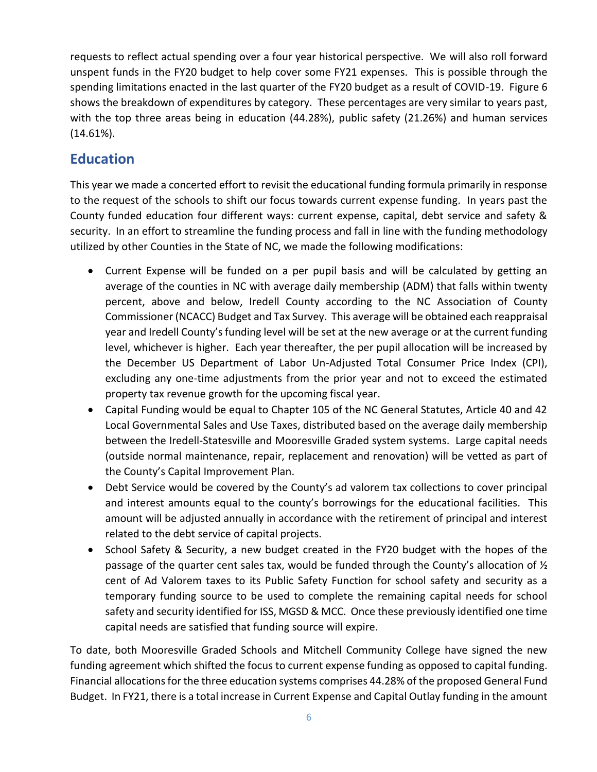requests to reflect actual spending over a four year historical perspective. We will also roll forward unspent funds in the FY20 budget to help cover some FY21 expenses. This is possible through the spending limitations enacted in the last quarter of the FY20 budget as a result of COVID-19. Figure 6 shows the breakdown of expenditures by category. These percentages are very similar to years past, with the top three areas being in education (44.28%), public safety (21.26%) and human services (14.61%).

## **Education**

This year we made a concerted effort to revisit the educational funding formula primarily in response to the request of the schools to shift our focus towards current expense funding. In years past the County funded education four different ways: current expense, capital, debt service and safety & security. In an effort to streamline the funding process and fall in line with the funding methodology utilized by other Counties in the State of NC, we made the following modifications:

- Current Expense will be funded on a per pupil basis and will be calculated by getting an average of the counties in NC with average daily membership (ADM) that falls within twenty percent, above and below, Iredell County according to the NC Association of County Commissioner (NCACC) Budget and Tax Survey. This average will be obtained each reappraisal year and Iredell County's funding level will be set at the new average or at the current funding level, whichever is higher. Each year thereafter, the per pupil allocation will be increased by the December US Department of Labor Un-Adjusted Total Consumer Price Index (CPI), excluding any one-time adjustments from the prior year and not to exceed the estimated property tax revenue growth for the upcoming fiscal year.
- Capital Funding would be equal to Chapter 105 of the NC General Statutes, Article 40 and 42 Local Governmental Sales and Use Taxes, distributed based on the average daily membership between the Iredell-Statesville and Mooresville Graded system systems. Large capital needs (outside normal maintenance, repair, replacement and renovation) will be vetted as part of the County's Capital Improvement Plan.
- Debt Service would be covered by the County's ad valorem tax collections to cover principal and interest amounts equal to the county's borrowings for the educational facilities. This amount will be adjusted annually in accordance with the retirement of principal and interest related to the debt service of capital projects.
- School Safety & Security, a new budget created in the FY20 budget with the hopes of the passage of the quarter cent sales tax, would be funded through the County's allocation of  $\mathcal{V}_2$ cent of Ad Valorem taxes to its Public Safety Function for school safety and security as a temporary funding source to be used to complete the remaining capital needs for school safety and security identified for ISS, MGSD & MCC. Once these previously identified one time capital needs are satisfied that funding source will expire.

To date, both Mooresville Graded Schools and Mitchell Community College have signed the new funding agreement which shifted the focus to current expense funding as opposed to capital funding. Financial allocations for the three education systems comprises 44.28% of the proposed General Fund Budget. In FY21, there is a total increase in Current Expense and Capital Outlay funding in the amount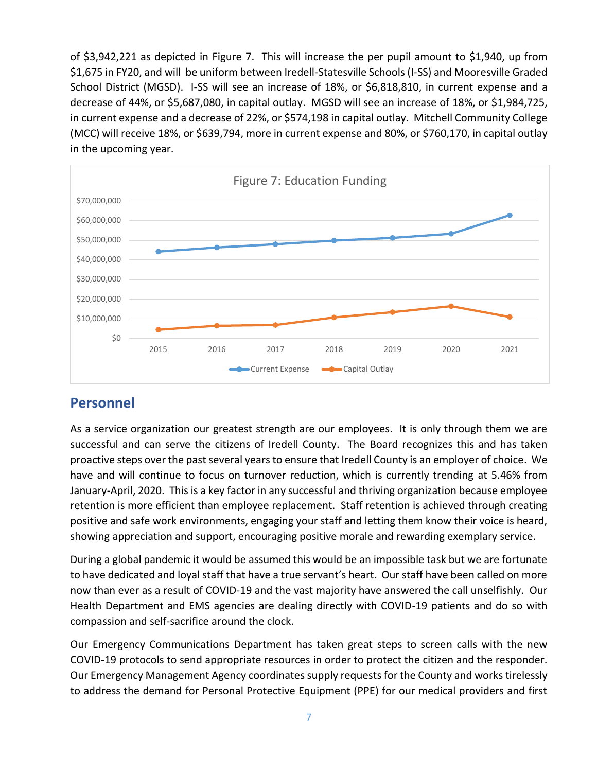of \$3,942,221 as depicted in Figure 7. This will increase the per pupil amount to \$1,940, up from \$1,675 in FY20, and will be uniform between Iredell-Statesville Schools (I-SS) and Mooresville Graded School District (MGSD). I-SS will see an increase of 18%, or \$6,818,810, in current expense and a decrease of 44%, or \$5,687,080, in capital outlay. MGSD will see an increase of 18%, or \$1,984,725, in current expense and a decrease of 22%, or \$574,198 in capital outlay. Mitchell Community College (MCC) will receive 18%, or \$639,794, more in current expense and 80%, or \$760,170, in capital outlay in the upcoming year.



#### **Personnel**

As a service organization our greatest strength are our employees. It is only through them we are successful and can serve the citizens of Iredell County. The Board recognizes this and has taken proactive steps over the past several years to ensure that Iredell County is an employer of choice. We have and will continue to focus on turnover reduction, which is currently trending at 5.46% from January-April, 2020. Thisis a key factor in any successful and thriving organization because employee retention is more efficient than employee replacement. Staff retention is achieved through creating positive and safe work environments, engaging your staff and letting them know their voice is heard, showing appreciation and support, encouraging positive morale and rewarding exemplary service.

During a global pandemic it would be assumed this would be an impossible task but we are fortunate to have dedicated and loyal staff that have a true servant's heart. Our staff have been called on more now than ever as a result of COVID-19 and the vast majority have answered the call unselfishly. Our Health Department and EMS agencies are dealing directly with COVID-19 patients and do so with compassion and self-sacrifice around the clock.

Our Emergency Communications Department has taken great steps to screen calls with the new COVID-19 protocols to send appropriate resources in order to protect the citizen and the responder. Our Emergency Management Agency coordinates supply requestsfor the County and works tirelessly to address the demand for Personal Protective Equipment (PPE) for our medical providers and first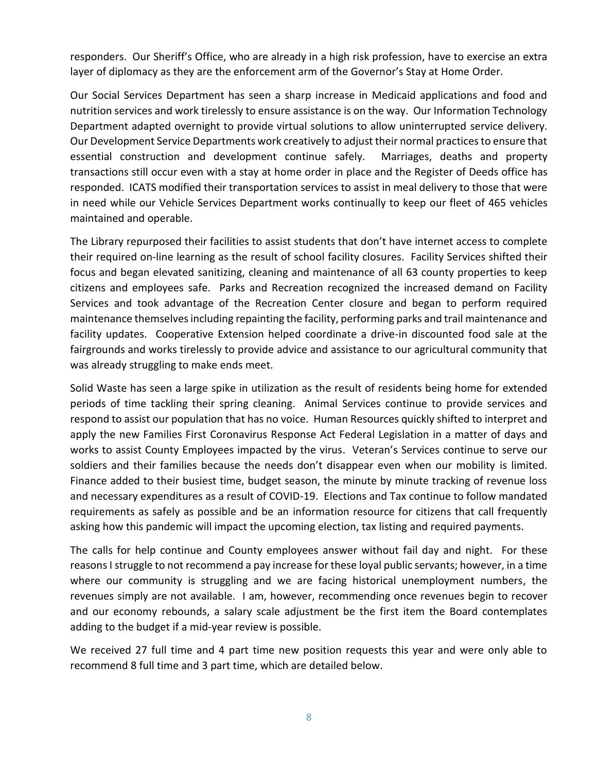responders. Our Sheriff's Office, who are already in a high risk profession, have to exercise an extra layer of diplomacy as they are the enforcement arm of the Governor's Stay at Home Order.

Our Social Services Department has seen a sharp increase in Medicaid applications and food and nutrition services and work tirelessly to ensure assistance is on the way. Our Information Technology Department adapted overnight to provide virtual solutions to allow uninterrupted service delivery. Our Development Service Departments work creatively to adjust their normal practices to ensure that essential construction and development continue safely. Marriages, deaths and property transactions still occur even with a stay at home order in place and the Register of Deeds office has responded. ICATS modified their transportation services to assist in meal delivery to those that were in need while our Vehicle Services Department works continually to keep our fleet of 465 vehicles maintained and operable.

The Library repurposed their facilities to assist students that don't have internet access to complete their required on-line learning as the result of school facility closures. Facility Services shifted their focus and began elevated sanitizing, cleaning and maintenance of all 63 county properties to keep citizens and employees safe. Parks and Recreation recognized the increased demand on Facility Services and took advantage of the Recreation Center closure and began to perform required maintenance themselves including repainting the facility, performing parks and trail maintenance and facility updates. Cooperative Extension helped coordinate a drive-in discounted food sale at the fairgrounds and works tirelessly to provide advice and assistance to our agricultural community that was already struggling to make ends meet.

Solid Waste has seen a large spike in utilization as the result of residents being home for extended periods of time tackling their spring cleaning. Animal Services continue to provide services and respond to assist our population that has no voice. Human Resources quickly shifted to interpret and apply the new Families First Coronavirus Response Act Federal Legislation in a matter of days and works to assist County Employees impacted by the virus. Veteran's Services continue to serve our soldiers and their families because the needs don't disappear even when our mobility is limited. Finance added to their busiest time, budget season, the minute by minute tracking of revenue loss and necessary expenditures as a result of COVID-19. Elections and Tax continue to follow mandated requirements as safely as possible and be an information resource for citizens that call frequently asking how this pandemic will impact the upcoming election, tax listing and required payments.

The calls for help continue and County employees answer without fail day and night. For these reasons Istruggle to not recommend a pay increase for these loyal public servants; however, in a time where our community is struggling and we are facing historical unemployment numbers, the revenues simply are not available. I am, however, recommending once revenues begin to recover and our economy rebounds, a salary scale adjustment be the first item the Board contemplates adding to the budget if a mid-year review is possible.

We received 27 full time and 4 part time new position requests this year and were only able to recommend 8 full time and 3 part time, which are detailed below.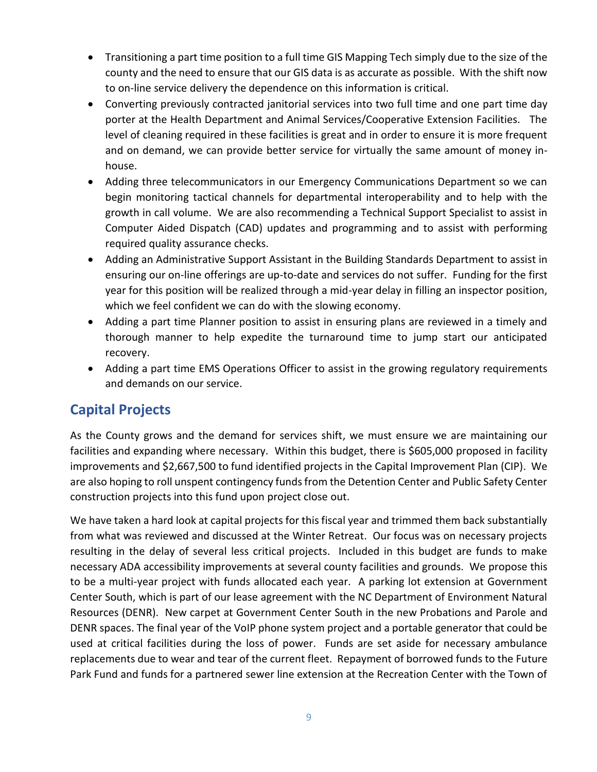- Transitioning a part time position to a full time GIS Mapping Tech simply due to the size of the county and the need to ensure that our GIS data is as accurate as possible. With the shift now to on-line service delivery the dependence on this information is critical.
- Converting previously contracted janitorial services into two full time and one part time day porter at the Health Department and Animal Services/Cooperative Extension Facilities. The level of cleaning required in these facilities is great and in order to ensure it is more frequent and on demand, we can provide better service for virtually the same amount of money inhouse.
- Adding three telecommunicators in our Emergency Communications Department so we can begin monitoring tactical channels for departmental interoperability and to help with the growth in call volume. We are also recommending a Technical Support Specialist to assist in Computer Aided Dispatch (CAD) updates and programming and to assist with performing required quality assurance checks.
- Adding an Administrative Support Assistant in the Building Standards Department to assist in ensuring our on-line offerings are up-to-date and services do not suffer. Funding for the first year for this position will be realized through a mid-year delay in filling an inspector position, which we feel confident we can do with the slowing economy.
- Adding a part time Planner position to assist in ensuring plans are reviewed in a timely and thorough manner to help expedite the turnaround time to jump start our anticipated recovery.
- Adding a part time EMS Operations Officer to assist in the growing regulatory requirements and demands on our service.

## **Capital Projects**

As the County grows and the demand for services shift, we must ensure we are maintaining our facilities and expanding where necessary. Within this budget, there is \$605,000 proposed in facility improvements and \$2,667,500 to fund identified projects in the Capital Improvement Plan (CIP). We are also hoping to roll unspent contingency funds from the Detention Center and Public Safety Center construction projects into this fund upon project close out.

We have taken a hard look at capital projects for this fiscal year and trimmed them back substantially from what was reviewed and discussed at the Winter Retreat. Our focus was on necessary projects resulting in the delay of several less critical projects. Included in this budget are funds to make necessary ADA accessibility improvements at several county facilities and grounds. We propose this to be a multi-year project with funds allocated each year. A parking lot extension at Government Center South, which is part of our lease agreement with the NC Department of Environment Natural Resources (DENR). New carpet at Government Center South in the new Probations and Parole and DENR spaces. The final year of the VoIP phone system project and a portable generator that could be used at critical facilities during the loss of power. Funds are set aside for necessary ambulance replacements due to wear and tear of the current fleet. Repayment of borrowed funds to the Future Park Fund and funds for a partnered sewer line extension at the Recreation Center with the Town of